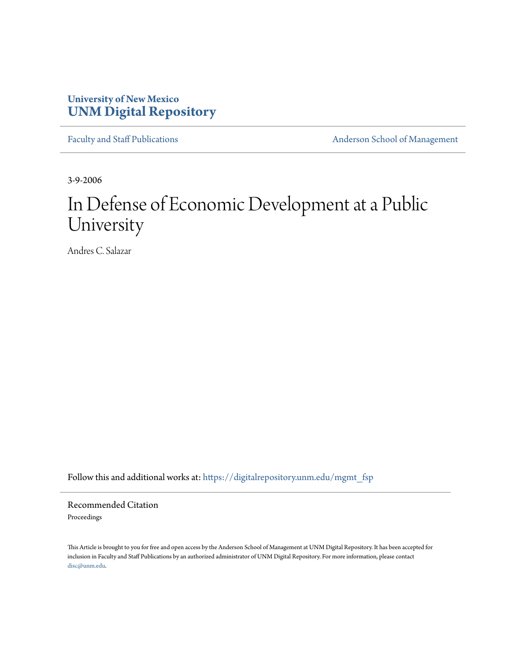## **University of New Mexico [UNM Digital Repository](https://digitalrepository.unm.edu?utm_source=digitalrepository.unm.edu%2Fmgmt_fsp%2F13&utm_medium=PDF&utm_campaign=PDFCoverPages)**

[Faculty and Staff Publications](https://digitalrepository.unm.edu/mgmt_fsp?utm_source=digitalrepository.unm.edu%2Fmgmt_fsp%2F13&utm_medium=PDF&utm_campaign=PDFCoverPages) **[Anderson School of Management](https://digitalrepository.unm.edu/mgmt?utm_source=digitalrepository.unm.edu%2Fmgmt_fsp%2F13&utm_medium=PDF&utm_campaign=PDFCoverPages)** 

3-9-2006

# In Defense of Economic Development at a Public University

Andres C. Salazar

Follow this and additional works at: [https://digitalrepository.unm.edu/mgmt\\_fsp](https://digitalrepository.unm.edu/mgmt_fsp?utm_source=digitalrepository.unm.edu%2Fmgmt_fsp%2F13&utm_medium=PDF&utm_campaign=PDFCoverPages)

Recommended Citation Proceedings

This Article is brought to you for free and open access by the Anderson School of Management at UNM Digital Repository. It has been accepted for inclusion in Faculty and Staff Publications by an authorized administrator of UNM Digital Repository. For more information, please contact [disc@unm.edu](mailto:disc@unm.edu).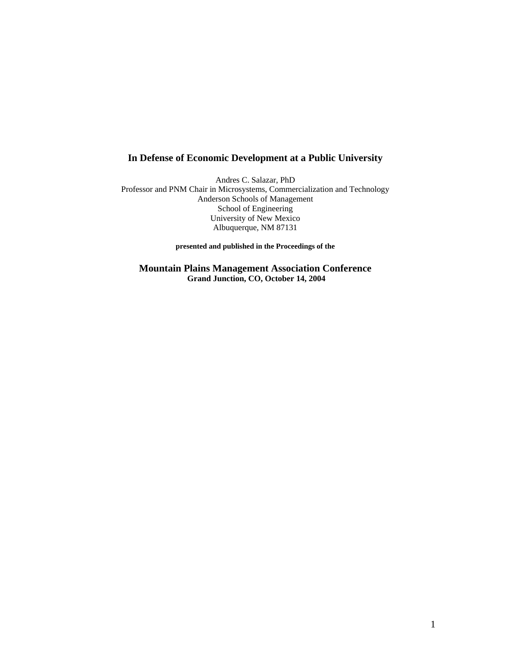## **In Defense of Economic Development at a Public University**

Andres C. Salazar, PhD Professor and PNM Chair in Microsystems, Commercialization and Technology Anderson Schools of Management School of Engineering University of New Mexico Albuquerque, NM 87131

**presented and published in the Proceedings of the** 

**Mountain Plains Management Association Conference Grand Junction, CO, October 14, 2004**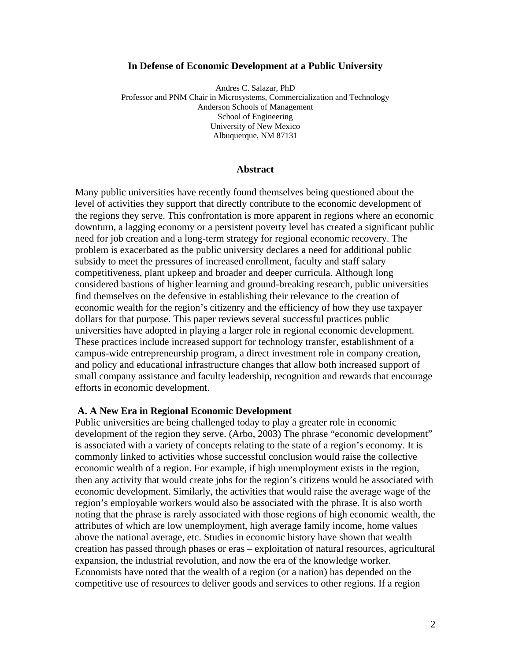#### **In Defense of Economic Development at a Public University**

Andres C. Salazar, PhD Professor and PNM Chair in Microsystems, Commercialization and Technology Anderson Schools of Management School of Engineering University of New Mexico Albuquerque, NM 87131

## **Abstract**

Many public universities have recently found themselves being questioned about the level of activities they support that directly contribute to the economic development of the regions they serve. This confrontation is more apparent in regions where an economic downturn, a lagging economy or a persistent poverty level has created a significant public need for job creation and a long-term strategy for regional economic recovery. The problem is exacerbated as the public university declares a need for additional public subsidy to meet the pressures of increased enrollment, faculty and staff salary competitiveness, plant upkeep and broader and deeper curricula. Although long considered bastions of higher learning and ground-breaking research, public universities find themselves on the defensive in establishing their relevance to the creation of economic wealth for the region's citizenry and the efficiency of how they use taxpayer dollars for that purpose. This paper reviews several successful practices public universities have adopted in playing a larger role in regional economic development. These practices include increased support for technology transfer, establishment of a campus-wide entrepreneurship program, a direct investment role in company creation, and policy and educational infrastructure changes that allow both increased support of small company assistance and faculty leadership, recognition and rewards that encourage efforts in economic development.

#### **A. A New Era in Regional Economic Development**

Public universities are being challenged today to play a greater role in economic development of the region they serve. (Arbo, 2003) The phrase "economic development" is associated with a variety of concepts relating to the state of a region's economy. It is commonly linked to activities whose successful conclusion would raise the collective economic wealth of a region. For example, if high unemployment exists in the region, then any activity that would create jobs for the region's citizens would be associated with economic development. Similarly, the activities that would raise the average wage of the region's employable workers would also be associated with the phrase. It is also worth noting that the phrase is rarely associated with those regions of high economic wealth, the attributes of which are low unemployment, high average family income, home values above the national average, etc. Studies in economic history have shown that wealth creation has passed through phases or eras – exploitation of natural resources, agricultural expansion, the industrial revolution, and now the era of the knowledge worker. Economists have noted that the wealth of a region (or a nation) has depended on the competitive use of resources to deliver goods and services to other regions. If a region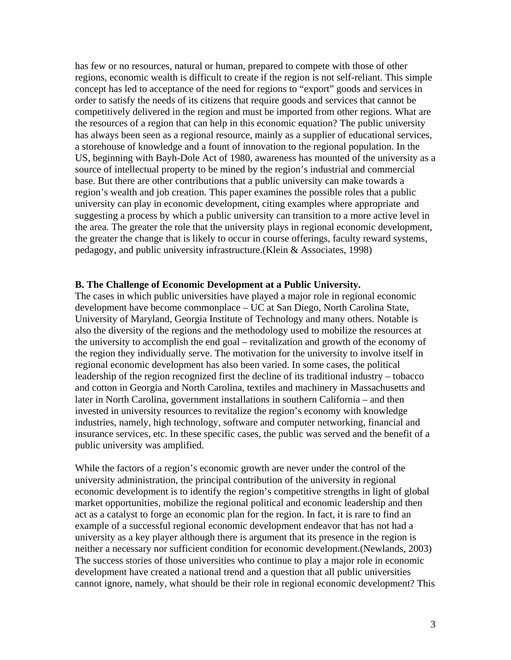has few or no resources, natural or human, prepared to compete with those of other regions, economic wealth is difficult to create if the region is not self-reliant. This simple concept has led to acceptance of the need for regions to "export" goods and services in order to satisfy the needs of its citizens that require goods and services that cannot be competitively delivered in the region and must be imported from other regions. What are the resources of a region that can help in this economic equation? The public university has always been seen as a regional resource, mainly as a supplier of educational services, a storehouse of knowledge and a fount of innovation to the regional population. In the US, beginning with Bayh-Dole Act of 1980, awareness has mounted of the university as a source of intellectual property to be mined by the region's industrial and commercial base. But there are other contributions that a public university can make towards a region's wealth and job creation. This paper examines the possible roles that a public university can play in economic development, citing examples where appropriate and suggesting a process by which a public university can transition to a more active level in the area. The greater the role that the university plays in regional economic development, the greater the change that is likely to occur in course offerings, faculty reward systems, pedagogy, and public university infrastructure.(Klein & Associates, 1998)

## **B. The Challenge of Economic Development at a Public University.**

The cases in which public universities have played a major role in regional economic development have become commonplace – UC at San Diego, North Carolina State, University of Maryland, Georgia Institute of Technology and many others. Notable is also the diversity of the regions and the methodology used to mobilize the resources at the university to accomplish the end goal – revitalization and growth of the economy of the region they individually serve. The motivation for the university to involve itself in regional economic development has also been varied. In some cases, the political leadership of the region recognized first the decline of its traditional industry – tobacco and cotton in Georgia and North Carolina, textiles and machinery in Massachusetts and later in North Carolina, government installations in southern California – and then invested in university resources to revitalize the region's economy with knowledge industries, namely, high technology, software and computer networking, financial and insurance services, etc. In these specific cases, the public was served and the benefit of a public university was amplified.

While the factors of a region's economic growth are never under the control of the university administration, the principal contribution of the university in regional economic development is to identify the region's competitive strengths in light of global market opportunities, mobilize the regional political and economic leadership and then act as a catalyst to forge an economic plan for the region. In fact, it is rare to find an example of a successful regional economic development endeavor that has not had a university as a key player although there is argument that its presence in the region is neither a necessary nor sufficient condition for economic development.(Newlands, 2003) The success stories of those universities who continue to play a major role in economic development have created a national trend and a question that all public universities cannot ignore, namely, what should be their role in regional economic development? This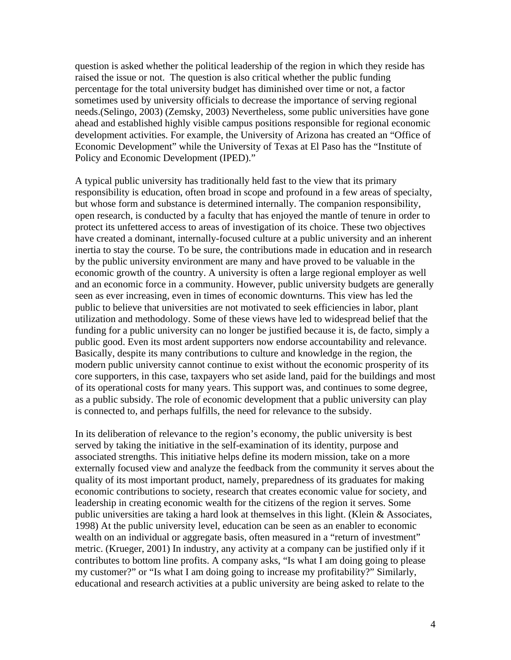question is asked whether the political leadership of the region in which they reside has raised the issue or not. The question is also critical whether the public funding percentage for the total university budget has diminished over time or not, a factor sometimes used by university officials to decrease the importance of serving regional needs.(Selingo, 2003) (Zemsky, 2003) Nevertheless, some public universities have gone ahead and established highly visible campus positions responsible for regional economic development activities. For example, the University of Arizona has created an "Office of Economic Development" while the University of Texas at El Paso has the "Institute of Policy and Economic Development (IPED)."

A typical public university has traditionally held fast to the view that its primary responsibility is education, often broad in scope and profound in a few areas of specialty, but whose form and substance is determined internally. The companion responsibility, open research, is conducted by a faculty that has enjoyed the mantle of tenure in order to protect its unfettered access to areas of investigation of its choice. These two objectives have created a dominant, internally-focused culture at a public university and an inherent inertia to stay the course. To be sure, the contributions made in education and in research by the public university environment are many and have proved to be valuable in the economic growth of the country. A university is often a large regional employer as well and an economic force in a community. However, public university budgets are generally seen as ever increasing, even in times of economic downturns. This view has led the public to believe that universities are not motivated to seek efficiencies in labor, plant utilization and methodology. Some of these views have led to widespread belief that the funding for a public university can no longer be justified because it is, de facto, simply a public good. Even its most ardent supporters now endorse accountability and relevance. Basically, despite its many contributions to culture and knowledge in the region, the modern public university cannot continue to exist without the economic prosperity of its core supporters, in this case, taxpayers who set aside land, paid for the buildings and most of its operational costs for many years. This support was, and continues to some degree, as a public subsidy. The role of economic development that a public university can play is connected to, and perhaps fulfills, the need for relevance to the subsidy.

In its deliberation of relevance to the region's economy, the public university is best served by taking the initiative in the self-examination of its identity, purpose and associated strengths. This initiative helps define its modern mission, take on a more externally focused view and analyze the feedback from the community it serves about the quality of its most important product, namely, preparedness of its graduates for making economic contributions to society, research that creates economic value for society, and leadership in creating economic wealth for the citizens of the region it serves. Some public universities are taking a hard look at themselves in this light. (Klein & Associates, 1998) At the public university level, education can be seen as an enabler to economic wealth on an individual or aggregate basis, often measured in a "return of investment" metric. (Krueger, 2001) In industry, any activity at a company can be justified only if it contributes to bottom line profits. A company asks, "Is what I am doing going to please my customer?" or "Is what I am doing going to increase my profitability?" Similarly, educational and research activities at a public university are being asked to relate to the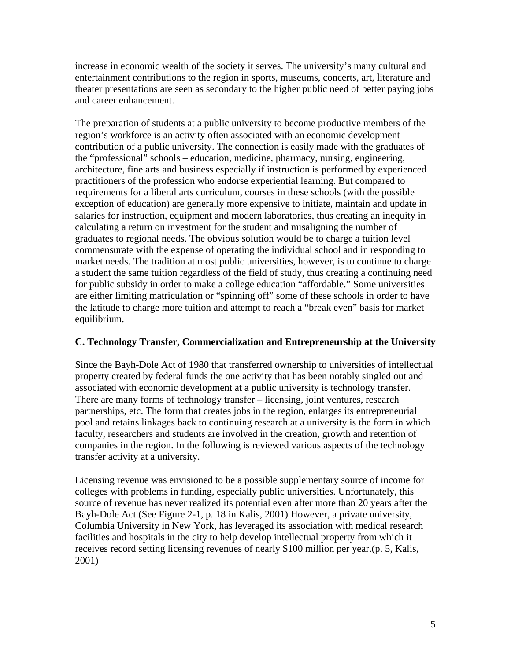increase in economic wealth of the society it serves. The university's many cultural and entertainment contributions to the region in sports, museums, concerts, art, literature and theater presentations are seen as secondary to the higher public need of better paying jobs and career enhancement.

The preparation of students at a public university to become productive members of the region's workforce is an activity often associated with an economic development contribution of a public university. The connection is easily made with the graduates of the "professional" schools – education, medicine, pharmacy, nursing, engineering, architecture, fine arts and business especially if instruction is performed by experienced practitioners of the profession who endorse experiential learning. But compared to requirements for a liberal arts curriculum, courses in these schools (with the possible exception of education) are generally more expensive to initiate, maintain and update in salaries for instruction, equipment and modern laboratories, thus creating an inequity in calculating a return on investment for the student and misaligning the number of graduates to regional needs. The obvious solution would be to charge a tuition level commensurate with the expense of operating the individual school and in responding to market needs. The tradition at most public universities, however, is to continue to charge a student the same tuition regardless of the field of study, thus creating a continuing need for public subsidy in order to make a college education "affordable." Some universities are either limiting matriculation or "spinning off" some of these schools in order to have the latitude to charge more tuition and attempt to reach a "break even" basis for market equilibrium.

## **C. Technology Transfer, Commercialization and Entrepreneurship at the University**

Since the Bayh-Dole Act of 1980 that transferred ownership to universities of intellectual property created by federal funds the one activity that has been notably singled out and associated with economic development at a public university is technology transfer. There are many forms of technology transfer – licensing, joint ventures, research partnerships, etc. The form that creates jobs in the region, enlarges its entrepreneurial pool and retains linkages back to continuing research at a university is the form in which faculty, researchers and students are involved in the creation, growth and retention of companies in the region. In the following is reviewed various aspects of the technology transfer activity at a university.

Licensing revenue was envisioned to be a possible supplementary source of income for colleges with problems in funding, especially public universities. Unfortunately, this source of revenue has never realized its potential even after more than 20 years after the Bayh-Dole Act.(See Figure 2-1, p. 18 in Kalis, 2001) However, a private university, Columbia University in New York, has leveraged its association with medical research facilities and hospitals in the city to help develop intellectual property from which it receives record setting licensing revenues of nearly \$100 million per year.(p. 5, Kalis, 2001)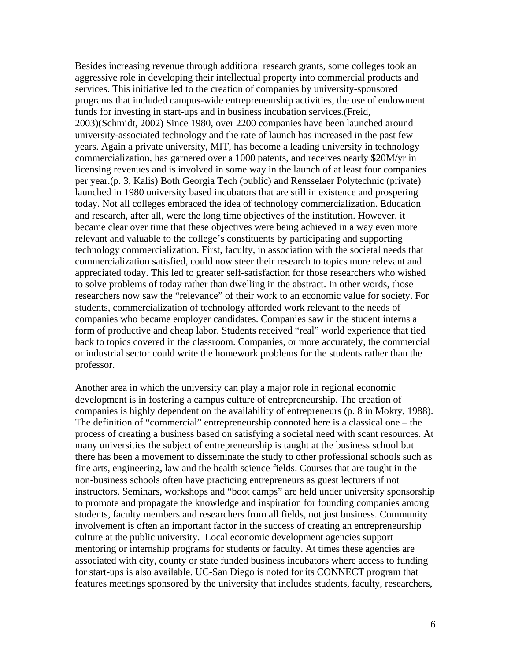Besides increasing revenue through additional research grants, some colleges took an aggressive role in developing their intellectual property into commercial products and services. This initiative led to the creation of companies by university-sponsored programs that included campus-wide entrepreneurship activities, the use of endowment funds for investing in start-ups and in business incubation services.(Freid, 2003)(Schmidt, 2002) Since 1980, over 2200 companies have been launched around university-associated technology and the rate of launch has increased in the past few years. Again a private university, MIT, has become a leading university in technology commercialization, has garnered over a 1000 patents, and receives nearly \$20M/yr in licensing revenues and is involved in some way in the launch of at least four companies per year.(p. 3, Kalis) Both Georgia Tech (public) and Rensselaer Polytechnic (private) launched in 1980 university based incubators that are still in existence and prospering today. Not all colleges embraced the idea of technology commercialization. Education and research, after all, were the long time objectives of the institution. However, it became clear over time that these objectives were being achieved in a way even more relevant and valuable to the college's constituents by participating and supporting technology commercialization. First, faculty, in association with the societal needs that commercialization satisfied, could now steer their research to topics more relevant and appreciated today. This led to greater self-satisfaction for those researchers who wished to solve problems of today rather than dwelling in the abstract. In other words, those researchers now saw the "relevance" of their work to an economic value for society. For students, commercialization of technology afforded work relevant to the needs of companies who became employer candidates. Companies saw in the student interns a form of productive and cheap labor. Students received "real" world experience that tied back to topics covered in the classroom. Companies, or more accurately, the commercial or industrial sector could write the homework problems for the students rather than the professor.

Another area in which the university can play a major role in regional economic development is in fostering a campus culture of entrepreneurship. The creation of companies is highly dependent on the availability of entrepreneurs (p. 8 in Mokry, 1988). The definition of "commercial" entrepreneurship connoted here is a classical one – the process of creating a business based on satisfying a societal need with scant resources. At many universities the subject of entrepreneurship is taught at the business school but there has been a movement to disseminate the study to other professional schools such as fine arts, engineering, law and the health science fields. Courses that are taught in the non-business schools often have practicing entrepreneurs as guest lecturers if not instructors. Seminars, workshops and "boot camps" are held under university sponsorship to promote and propagate the knowledge and inspiration for founding companies among students, faculty members and researchers from all fields, not just business. Community involvement is often an important factor in the success of creating an entrepreneurship culture at the public university. Local economic development agencies support mentoring or internship programs for students or faculty. At times these agencies are associated with city, county or state funded business incubators where access to funding for start-ups is also available. UC-San Diego is noted for its CONNECT program that features meetings sponsored by the university that includes students, faculty, researchers,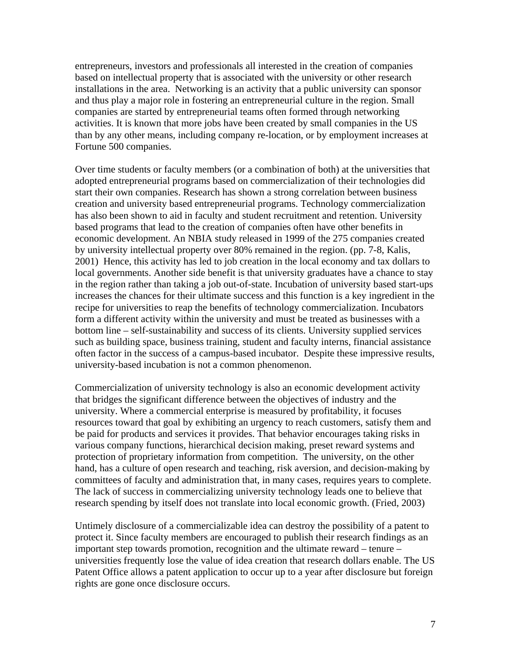entrepreneurs, investors and professionals all interested in the creation of companies based on intellectual property that is associated with the university or other research installations in the area. Networking is an activity that a public university can sponsor and thus play a major role in fostering an entrepreneurial culture in the region. Small companies are started by entrepreneurial teams often formed through networking activities. It is known that more jobs have been created by small companies in the US than by any other means, including company re-location, or by employment increases at Fortune 500 companies.

Over time students or faculty members (or a combination of both) at the universities that adopted entrepreneurial programs based on commercialization of their technologies did start their own companies. Research has shown a strong correlation between business creation and university based entrepreneurial programs. Technology commercialization has also been shown to aid in faculty and student recruitment and retention. University based programs that lead to the creation of companies often have other benefits in economic development. An NBIA study released in 1999 of the 275 companies created by university intellectual property over 80% remained in the region. (pp. 7-8, Kalis, 2001) Hence, this activity has led to job creation in the local economy and tax dollars to local governments. Another side benefit is that university graduates have a chance to stay in the region rather than taking a job out-of-state. Incubation of university based start-ups increases the chances for their ultimate success and this function is a key ingredient in the recipe for universities to reap the benefits of technology commercialization. Incubators form a different activity within the university and must be treated as businesses with a bottom line – self-sustainability and success of its clients. University supplied services such as building space, business training, student and faculty interns, financial assistance often factor in the success of a campus-based incubator. Despite these impressive results, university-based incubation is not a common phenomenon.

Commercialization of university technology is also an economic development activity that bridges the significant difference between the objectives of industry and the university. Where a commercial enterprise is measured by profitability, it focuses resources toward that goal by exhibiting an urgency to reach customers, satisfy them and be paid for products and services it provides. That behavior encourages taking risks in various company functions, hierarchical decision making, preset reward systems and protection of proprietary information from competition. The university, on the other hand, has a culture of open research and teaching, risk aversion, and decision-making by committees of faculty and administration that, in many cases, requires years to complete. The lack of success in commercializing university technology leads one to believe that research spending by itself does not translate into local economic growth. (Fried, 2003)

Untimely disclosure of a commercializable idea can destroy the possibility of a patent to protect it. Since faculty members are encouraged to publish their research findings as an important step towards promotion, recognition and the ultimate reward – tenure – universities frequently lose the value of idea creation that research dollars enable. The US Patent Office allows a patent application to occur up to a year after disclosure but foreign rights are gone once disclosure occurs.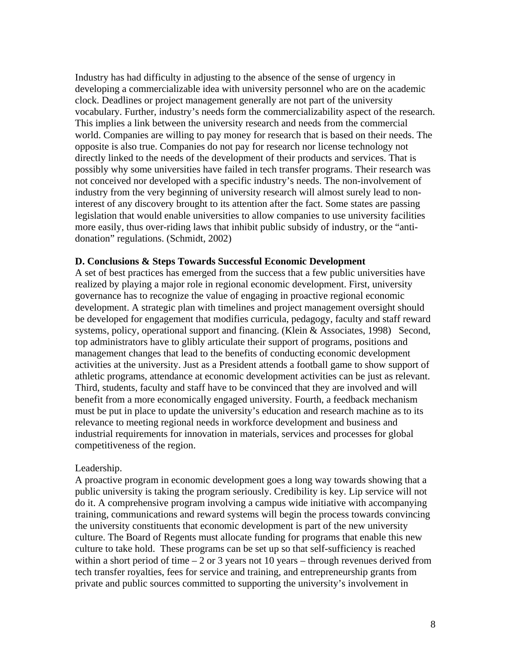Industry has had difficulty in adjusting to the absence of the sense of urgency in developing a commercializable idea with university personnel who are on the academic clock. Deadlines or project management generally are not part of the university vocabulary. Further, industry's needs form the commercializability aspect of the research. This implies a link between the university research and needs from the commercial world. Companies are willing to pay money for research that is based on their needs. The opposite is also true. Companies do not pay for research nor license technology not directly linked to the needs of the development of their products and services. That is possibly why some universities have failed in tech transfer programs. Their research was not conceived nor developed with a specific industry's needs. The non-involvement of industry from the very beginning of university research will almost surely lead to noninterest of any discovery brought to its attention after the fact. Some states are passing legislation that would enable universities to allow companies to use university facilities more easily, thus over-riding laws that inhibit public subsidy of industry, or the "antidonation" regulations. (Schmidt, 2002)

## **D. Conclusions & Steps Towards Successful Economic Development**

A set of best practices has emerged from the success that a few public universities have realized by playing a major role in regional economic development. First, university governance has to recognize the value of engaging in proactive regional economic development. A strategic plan with timelines and project management oversight should be developed for engagement that modifies curricula, pedagogy, faculty and staff reward systems, policy, operational support and financing. (Klein & Associates, 1998) Second, top administrators have to glibly articulate their support of programs, positions and management changes that lead to the benefits of conducting economic development activities at the university. Just as a President attends a football game to show support of athletic programs, attendance at economic development activities can be just as relevant. Third, students, faculty and staff have to be convinced that they are involved and will benefit from a more economically engaged university. Fourth, a feedback mechanism must be put in place to update the university's education and research machine as to its relevance to meeting regional needs in workforce development and business and industrial requirements for innovation in materials, services and processes for global competitiveness of the region.

## Leadership.

A proactive program in economic development goes a long way towards showing that a public university is taking the program seriously. Credibility is key. Lip service will not do it. A comprehensive program involving a campus wide initiative with accompanying training, communications and reward systems will begin the process towards convincing the university constituents that economic development is part of the new university culture. The Board of Regents must allocate funding for programs that enable this new culture to take hold. These programs can be set up so that self-sufficiency is reached within a short period of time  $-2$  or 3 years not 10 years – through revenues derived from tech transfer royalties, fees for service and training, and entrepreneurship grants from private and public sources committed to supporting the university's involvement in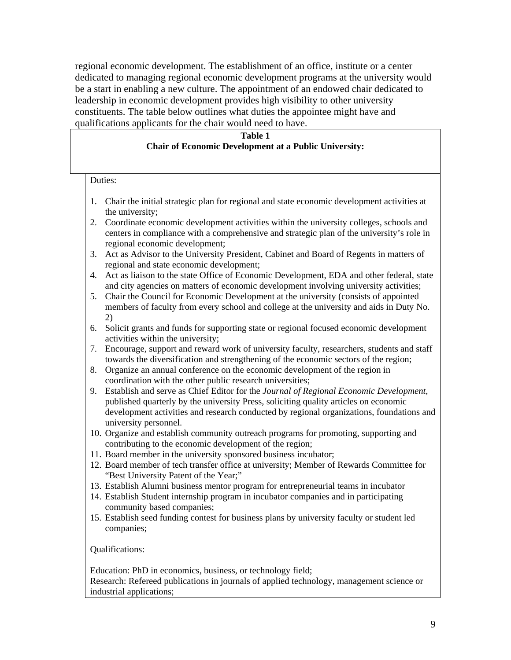regional economic development. The establishment of an office, institute or a center dedicated to managing regional economic development programs at the university would be a start in enabling a new culture. The appointment of an endowed chair dedicated to leadership in economic development provides high visibility to other university constituents. The table below outlines what duties the appointee might have and qualifications applicants for the chair would need to have.

## **Table 1 Chair of Economic Development at a Public University:**

Duties:

- 1. Chair the initial strategic plan for regional and state economic development activities at the university;
- 2. Coordinate economic development activities within the university colleges, schools and centers in compliance with a comprehensive and strategic plan of the university's role in regional economic development;
- 3. Act as Advisor to the University President, Cabinet and Board of Regents in matters of regional and state economic development;
- 4. Act as liaison to the state Office of Economic Development, EDA and other federal, state and city agencies on matters of economic development involving university activities;
- 5. Chair the Council for Economic Development at the university (consists of appointed members of faculty from every school and college at the university and aids in Duty No. 2)
- 6. Solicit grants and funds for supporting state or regional focused economic development activities within the university;
- 7. Encourage, support and reward work of university faculty, researchers, students and staff towards the diversification and strengthening of the economic sectors of the region;
- 8. Organize an annual conference on the economic development of the region in coordination with the other public research universities;
- 9. Establish and serve as Chief Editor for the *Journal of Regional Economic Development*, published quarterly by the university Press, soliciting quality articles on economic development activities and research conducted by regional organizations, foundations and university personnel.
- 10. Organize and establish community outreach programs for promoting, supporting and contributing to the economic development of the region;
- 11. Board member in the university sponsored business incubator;
- 12. Board member of tech transfer office at university; Member of Rewards Committee for "Best University Patent of the Year;"
- 13. Establish Alumni business mentor program for entrepreneurial teams in incubator
- 14. Establish Student internship program in incubator companies and in participating community based companies;
- 15. Establish seed funding contest for business plans by university faculty or student led companies;

Qualifications:

Education: PhD in economics, business, or technology field; Research: Refereed publications in journals of applied technology, management science or industrial applications;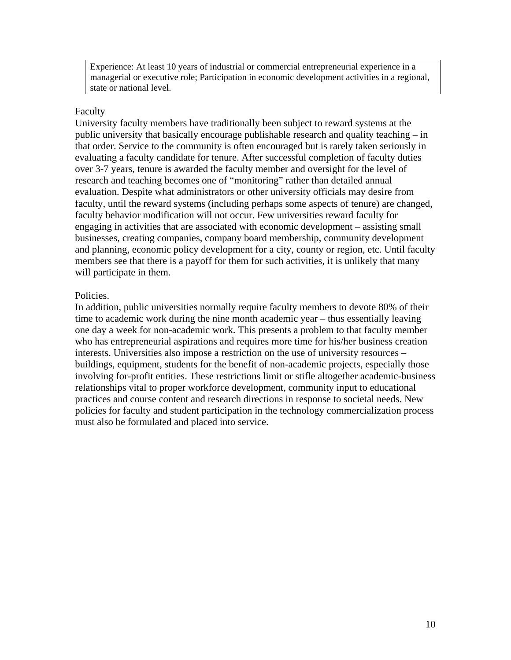Experience: At least 10 years of industrial or commercial entrepreneurial experience in a managerial or executive role; Participation in economic development activities in a regional, state or national level.

#### Faculty

University faculty members have traditionally been subject to reward systems at the public university that basically encourage publishable research and quality teaching – in that order. Service to the community is often encouraged but is rarely taken seriously in evaluating a faculty candidate for tenure. After successful completion of faculty duties over 3-7 years, tenure is awarded the faculty member and oversight for the level of research and teaching becomes one of "monitoring" rather than detailed annual evaluation. Despite what administrators or other university officials may desire from faculty, until the reward systems (including perhaps some aspects of tenure) are changed, faculty behavior modification will not occur. Few universities reward faculty for engaging in activities that are associated with economic development – assisting small businesses, creating companies, company board membership, community development and planning, economic policy development for a city, county or region, etc. Until faculty members see that there is a payoff for them for such activities, it is unlikely that many will participate in them.

## Policies.

In addition, public universities normally require faculty members to devote 80% of their time to academic work during the nine month academic year – thus essentially leaving one day a week for non-academic work. This presents a problem to that faculty member who has entrepreneurial aspirations and requires more time for his/her business creation interests. Universities also impose a restriction on the use of university resources – buildings, equipment, students for the benefit of non-academic projects, especially those involving for-profit entities. These restrictions limit or stifle altogether academic-business relationships vital to proper workforce development, community input to educational practices and course content and research directions in response to societal needs. New policies for faculty and student participation in the technology commercialization process must also be formulated and placed into service.